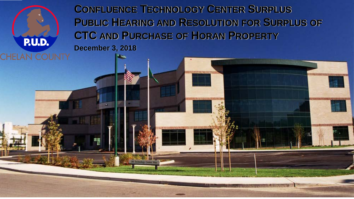

**CONFLUENCE TECHNOLOGY CENTER SURPLUS PUBLIC HEARING AND RESOLUTION FOR SURPLUS OF CTC AND PURCHASE OF HORAN PROPERTY December 3, 2018**

P.U.D.

CHEL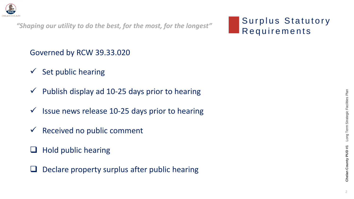## Surplus Statutory



Governed by RCW 39.33.020

- $\checkmark$  Set public hearing
- $\checkmark$  Publish display ad 10-25 days prior to hearing
- $\checkmark$  Issue news release 10-25 days prior to hearing
- $\checkmark$  Received no public comment
- $\Box$  Hold public hearing
- $\Box$  Declare property surplus after public hearing



*"Shaping our utility to do the best, for the most, for the longest"*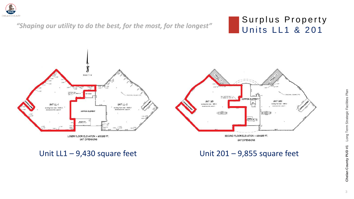### Surplus Property

Long Term Strategic Facilities Plan 3 **Chelan County PUD #1** Long Term Strategic Facilities Plan Chelan County PUD #1



### Units LL1 & 201 *"Shaping our utility to do the best, for the most, for the longest"*





Unit  $LL1 - 9,430$  square feet Unit  $201 - 9,855$  square feet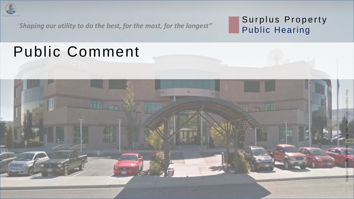

# Surplus Property

Public Hearing

### Public Comment



*"Shaping our utility to do the best, for the most, for the longest"*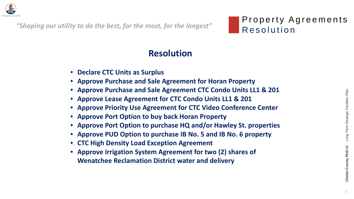

"Shaping our utility to do the best, for the most, for the longest" Resolution



## Property Agreements

5 **Chelan County PUD #1** Long Term Strategic Facilities Plan Long Term Strategic Facilities Plan Chelan County PUD #1

### **Resolution**

- **Declare CTC Units as Surplus**
- **Approve Purchase and Sale Agreement for Horan Property**
- **Approve Purchase and Sale Agreement CTC Condo Units LL1 & 201**
- **Approve Lease Agreement for CTC Condo Units LL1 & 201**
- **Approve Priority Use Agreement for CTC Video Conference Center**
- **Approve Port Option to buy back Horan Property**
- **Approve Port Option to purchase HQ and/or Hawley St. properties**
- **Approve PUD Option to purchase IB No. 5 and IB No. 6 property**
- **CTC High Density Load Exception Agreement**
- **Approve Irrigation System Agreement for two (2) shares of Wenatchee Reclamation District water and delivery**